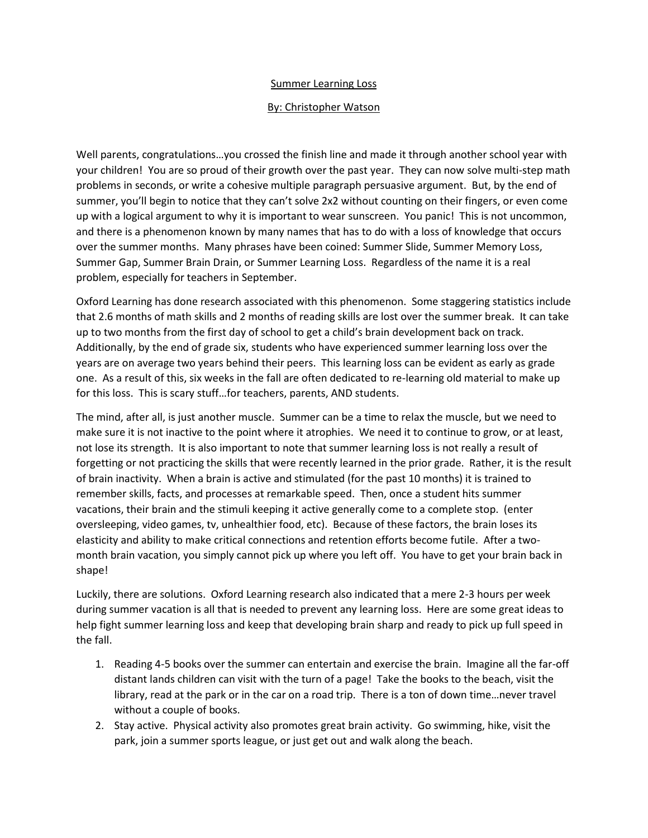## Summer Learning Loss

## By: Christopher Watson

Well parents, congratulations…you crossed the finish line and made it through another school year with your children! You are so proud of their growth over the past year. They can now solve multi-step math problems in seconds, or write a cohesive multiple paragraph persuasive argument. But, by the end of summer, you'll begin to notice that they can't solve 2x2 without counting on their fingers, or even come up with a logical argument to why it is important to wear sunscreen. You panic! This is not uncommon, and there is a phenomenon known by many names that has to do with a loss of knowledge that occurs over the summer months. Many phrases have been coined: Summer Slide, Summer Memory Loss, Summer Gap, Summer Brain Drain, or Summer Learning Loss. Regardless of the name it is a real problem, especially for teachers in September.

Oxford Learning has done research associated with this phenomenon. Some staggering statistics include that 2.6 months of math skills and 2 months of reading skills are lost over the summer break. It can take up to two months from the first day of school to get a child's brain development back on track. Additionally, by the end of grade six, students who have experienced summer learning loss over the years are on average two years behind their peers. This learning loss can be evident as early as grade one. As a result of this, six weeks in the fall are often dedicated to re-learning old material to make up for this loss. This is scary stuff…for teachers, parents, AND students.

The mind, after all, is just another muscle. Summer can be a time to relax the muscle, but we need to make sure it is not inactive to the point where it atrophies. We need it to continue to grow, or at least, not lose its strength. It is also important to note that summer learning loss is not really a result of forgetting or not practicing the skills that were recently learned in the prior grade. Rather, it is the result of brain inactivity. When a brain is active and stimulated (for the past 10 months) it is trained to remember skills, facts, and processes at remarkable speed. Then, once a student hits summer vacations, their brain and the stimuli keeping it active generally come to a complete stop. (enter oversleeping, video games, tv, unhealthier food, etc). Because of these factors, the brain loses its elasticity and ability to make critical connections and retention efforts become futile. After a twomonth brain vacation, you simply cannot pick up where you left off. You have to get your brain back in shape!

Luckily, there are solutions. Oxford Learning research also indicated that a mere 2-3 hours per week during summer vacation is all that is needed to prevent any learning loss. Here are some great ideas to help fight summer learning loss and keep that developing brain sharp and ready to pick up full speed in the fall.

- 1. Reading 4-5 books over the summer can entertain and exercise the brain. Imagine all the far-off distant lands children can visit with the turn of a page! Take the books to the beach, visit the library, read at the park or in the car on a road trip. There is a ton of down time…never travel without a couple of books.
- 2. Stay active. Physical activity also promotes great brain activity. Go swimming, hike, visit the park, join a summer sports league, or just get out and walk along the beach.